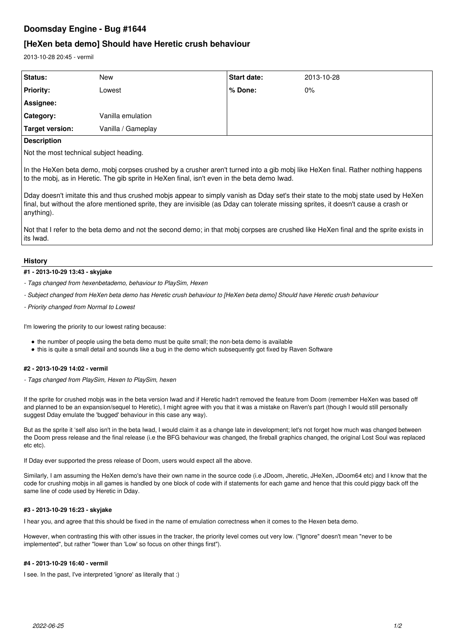# **Doomsday Engine - Bug #1644**

# **[HeXen beta demo] Should have Heretic crush behaviour**

2013-10-28 20:45 - vermil

| <b>Status:</b>   | <b>New</b>         | <b>Start date:</b> | 2013-10-28 |
|------------------|--------------------|--------------------|------------|
| <b>Priority:</b> | Lowest             | l % Done:          | $0\%$      |
| Assignee:        |                    |                    |            |
| Category:        | Vanilla emulation  |                    |            |
| Target version:  | Vanilla / Gameplay |                    |            |
|                  |                    |                    |            |

### **Description**

Not the most technical subject heading.

In the HeXen beta demo, mobj corpses crushed by a crusher aren't turned into a gib mobj like HeXen final. Rather nothing happens to the mobj, as in Heretic. The gib sprite in HeXen final, isn't even in the beta demo Iwad.

Dday doesn't imitate this and thus crushed mobjs appear to simply vanish as Dday set's their state to the mobj state used by HeXen final, but without the afore mentioned sprite, they are invisible (as Dday can tolerate missing sprites, it doesn't cause a crash or anything).

Not that I refer to the beta demo and not the second demo; in that mobj corpses are crushed like HeXen final and the sprite exists in its Iwad.

#### **History**

#### **#1 - 2013-10-29 13:43 - skyjake**

- *Tags changed from hexenbetademo, behaviour to PlaySim, Hexen*
- *Subject changed from HeXen beta demo has Heretic crush behaviour to [HeXen beta demo] Should have Heretic crush behaviour*
- *Priority changed from Normal to Lowest*

I'm lowering the priority to our lowest rating because:

- the number of people using the beta demo must be quite small; the non-beta demo is available
- this is quite a small detail and sounds like a bug in the demo which subsequently got fixed by Raven Software

### **#2 - 2013-10-29 14:02 - vermil**

*- Tags changed from PlaySim, Hexen to PlaySim, hexen*

If the sprite for crushed mobjs was in the beta version Iwad and if Heretic hadn't removed the feature from Doom (remember HeXen was based off and planned to be an expansion/sequel to Heretic), I might agree with you that it was a mistake on Raven's part (though I would still personally suggest Dday emulate the 'bugged' behaviour in this case any way).

But as the sprite it 'self also isn't in the beta Iwad, I would claim it as a change late in development; let's not forget how much was changed between the Doom press release and the final release (i.e the BFG behaviour was changed, the fireball graphics changed, the original Lost Soul was replaced etc etc).

If Dday ever supported the press release of Doom, users would expect all the above.

Similarly, I am assuming the HeXen demo's have their own name in the source code (i.e JDoom, Jheretic, JHeXen, JDoom64 etc) and I know that the code for crushing mobjs in all games is handled by one block of code with if statements for each game and hence that this could piggy back off the same line of code used by Heretic in Dday.

#### **#3 - 2013-10-29 16:23 - skyjake**

I hear you, and agree that this should be fixed in the name of emulation correctness when it comes to the Hexen beta demo.

However, when contrasting this with other issues in the tracker, the priority level comes out very low. ("Ignore" doesn't mean "never to be implemented", but rather "lower than 'Low' so focus on other things first").

#### **#4 - 2013-10-29 16:40 - vermil**

I see. In the past, I've interpreted 'ignore' as literally that :)